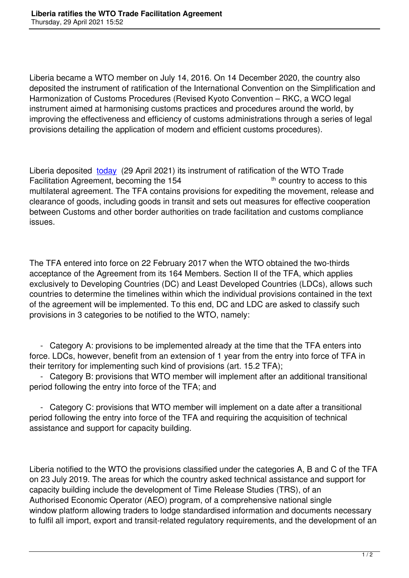Liberia became a WTO member on July 14, 2016. On 14 December 2020, the country also deposited the instrument of ratification of the International Convention on the Simplification and Harmonization of Customs Procedures (Revised Kyoto Convention – RKC, a WCO legal instrument aimed at harmonising customs practices and procedures around the world, by improving the effectiveness and efficiency of customs administrations through a series of legal provisions detailing the application of modern and efficient customs procedures).

Liberia deposited today (29 April 2021) its instrument of ratification of the WTO Trade Facilitation Agreement, becoming the 154 the state of the country to access to this multilateral agreement. The TFA contains provisions for expediting the movement, release and clearance of good[s, inclu](https://tfadatabase.org/members/liberia)ding goods in transit and sets out measures for effective cooperation between Customs and other border authorities on trade facilitation and customs compliance issues.

The TFA entered into force on 22 February 2017 when the WTO obtained the two-thirds acceptance of the Agreement from its 164 Members. Section II of the TFA, which applies exclusively to Developing Countries (DC) and Least Developed Countries (LDCs), allows such countries to determine the timelines within which the individual provisions contained in the text of the agreement will be implemented. To this end, DC and LDC are asked to classify such provisions in 3 categories to be notified to the WTO, namely:

 - Category A: provisions to be implemented already at the time that the TFA enters into force. LDCs, however, benefit from an extension of 1 year from the entry into force of TFA in their territory for implementing such kind of provisions (art. 15.2 TFA);

 - Category B: provisions that WTO member will implement after an additional transitional period following the entry into force of the TFA; and

 - Category C: provisions that WTO member will implement on a date after a transitional period following the entry into force of the TFA and requiring the acquisition of technical assistance and support for capacity building.

Liberia notified to the WTO the provisions classified under the categories A, B and C of the TFA on 23 July 2019. The areas for which the country asked technical assistance and support for capacity building include the development of Time Release Studies (TRS), of an Authorised Economic Operator (AEO) program, of a comprehensive national single window platform allowing traders to lodge standardised information and documents necessary to fulfil all import, export and transit-related regulatory requirements, and the development of an